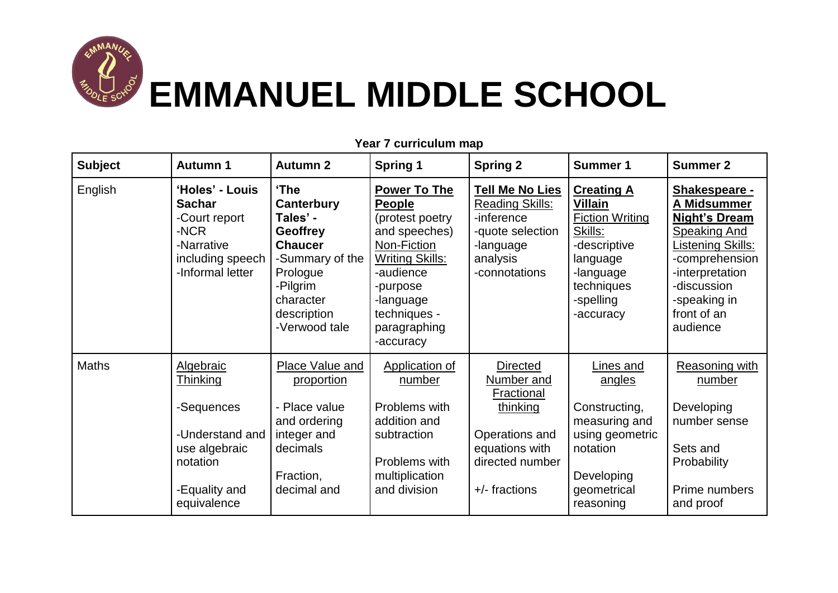

| <b>Subject</b> | <b>Autumn 1</b>                                                                                                            | <b>Autumn 2</b>                                                                                                                                             | <b>Spring 1</b>                                                                                                                                                                                      | <b>Spring 2</b>                                                                                                                   | <b>Summer 1</b>                                                                                                                                           | <b>Summer 2</b>                                                                                                                                                                                        |
|----------------|----------------------------------------------------------------------------------------------------------------------------|-------------------------------------------------------------------------------------------------------------------------------------------------------------|------------------------------------------------------------------------------------------------------------------------------------------------------------------------------------------------------|-----------------------------------------------------------------------------------------------------------------------------------|-----------------------------------------------------------------------------------------------------------------------------------------------------------|--------------------------------------------------------------------------------------------------------------------------------------------------------------------------------------------------------|
| English        | 'Holes' - Louis<br><b>Sachar</b><br>-Court report<br>-NCR<br>-Narrative<br>including speech<br>-Informal letter            | 'The<br>Canterbury<br>Tales' -<br><b>Geoffrey</b><br><b>Chaucer</b><br>-Summary of the<br>Prologue<br>-Pilgrim<br>character<br>description<br>-Verwood tale | <b>Power To The</b><br><b>People</b><br>(protest poetry<br>and speeches)<br>Non-Fiction<br><b>Writing Skills:</b><br>-audience<br>-purpose<br>-language<br>techniques -<br>paragraphing<br>-accuracy | <b>Tell Me No Lies</b><br><b>Reading Skills:</b><br>-inference<br>-quote selection<br>-language<br>analysis<br>-connotations      | <b>Creating A</b><br><b>Villain</b><br><b>Fiction Writing</b><br>Skills:<br>-descriptive<br>language<br>-language<br>techniques<br>-spelling<br>-accuracy | Shakespeare -<br>A Midsummer<br><b>Night's Dream</b><br><b>Speaking And</b><br><b>Listening Skills:</b><br>-comprehension<br>-interpretation<br>-discussion<br>-speaking in<br>front of an<br>audience |
| <b>Maths</b>   | Algebraic<br><b>Thinking</b><br>-Sequences<br>-Understand and<br>use algebraic<br>notation<br>-Equality and<br>equivalence | <b>Place Value and</b><br>proportion<br>- Place value<br>and ordering<br>integer and<br>decimals<br>Fraction,<br>decimal and                                | <b>Application of</b><br>number<br>Problems with<br>addition and<br>subtraction<br>Problems with<br>multiplication<br>and division                                                                   | <b>Directed</b><br>Number and<br>Fractional<br>thinking<br>Operations and<br>equations with<br>directed number<br>$+/-$ fractions | Lines and<br>angles<br>Constructing,<br>measuring and<br>using geometric<br>notation<br>Developing<br>geometrical<br>reasoning                            | <b>Reasoning with</b><br>number<br>Developing<br>number sense<br>Sets and<br>Probability<br>Prime numbers<br>and proof                                                                                 |

**Year 7 curriculum map**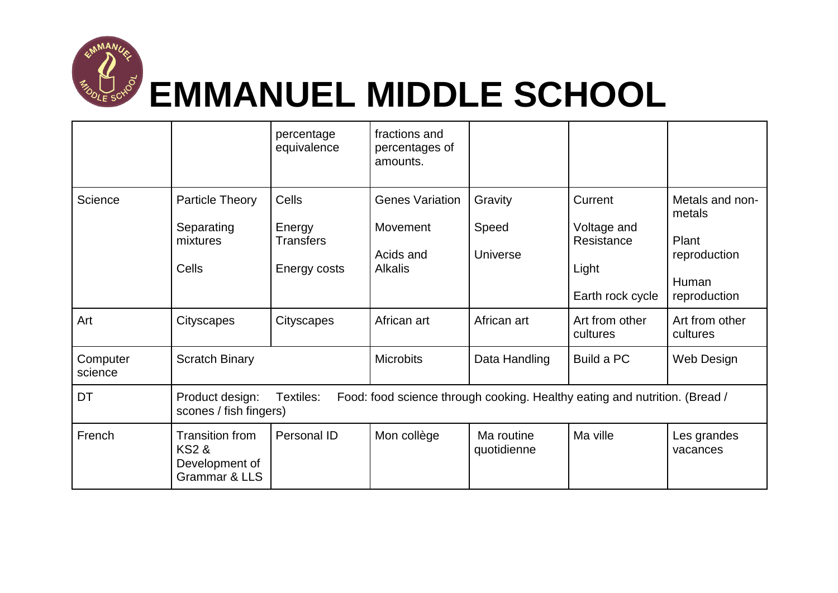

## **EMMANUEL MIDDLE SCHOOL**

|                     |                                                                                                                                      | percentage<br>equivalence                           | fractions and<br>percentages of<br>amounts.                       |                                     |                                                                   |                                                                             |  |
|---------------------|--------------------------------------------------------------------------------------------------------------------------------------|-----------------------------------------------------|-------------------------------------------------------------------|-------------------------------------|-------------------------------------------------------------------|-----------------------------------------------------------------------------|--|
| Science             | Particle Theory<br>Separating<br>mixtures<br>Cells                                                                                   | Cells<br>Energy<br><b>Transfers</b><br>Energy costs | <b>Genes Variation</b><br>Movement<br>Acids and<br><b>Alkalis</b> | Gravity<br>Speed<br><b>Universe</b> | Current<br>Voltage and<br>Resistance<br>Light<br>Earth rock cycle | Metals and non-<br>metals<br>Plant<br>reproduction<br>Human<br>reproduction |  |
| Art                 | Cityscapes                                                                                                                           | Cityscapes                                          | African art                                                       | African art                         | Art from other<br>cultures                                        | Art from other<br>cultures                                                  |  |
| Computer<br>science | <b>Scratch Binary</b>                                                                                                                |                                                     | <b>Microbits</b>                                                  | Data Handling                       | Build a PC                                                        | Web Design                                                                  |  |
| DT                  | Textiles:<br>Food: food science through cooking. Healthy eating and nutrition. (Bread /<br>Product design:<br>scones / fish fingers) |                                                     |                                                                   |                                     |                                                                   |                                                                             |  |
| French              | <b>Transition from</b><br><b>KS2 &amp;</b><br>Development of<br><b>Grammar &amp; LLS</b>                                             | Personal ID                                         | Mon collège                                                       | Ma routine<br>quotidienne           | Ma ville                                                          | Les grandes<br>vacances                                                     |  |